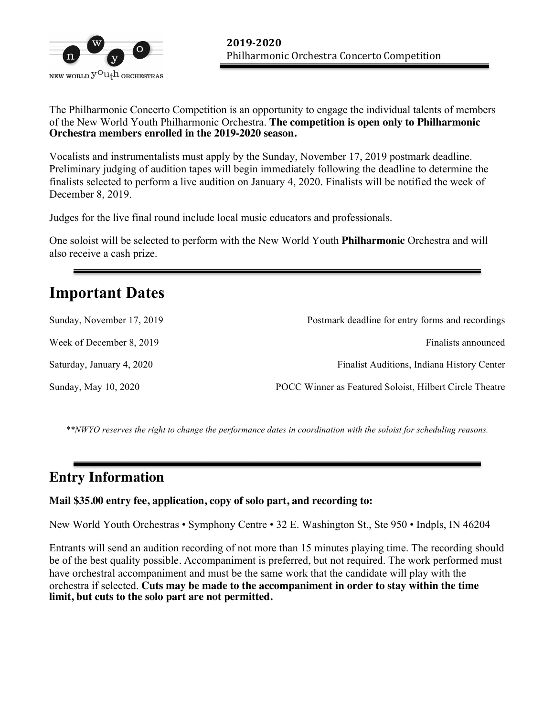

The Philharmonic Concerto Competition is an opportunity to engage the individual talents of members of the New World Youth Philharmonic Orchestra. **The competition is open only to Philharmonic Orchestra members enrolled in the 2019-2020 season.** 

Vocalists and instrumentalists must apply by the Sunday, November 17, 2019 postmark deadline. Preliminary judging of audition tapes will begin immediately following the deadline to determine the finalists selected to perform a live audition on January 4, 2020. Finalists will be notified the week of December 8, 2019.

Judges for the live final round include local music educators and professionals.

One soloist will be selected to perform with the New World Youth **Philharmonic** Orchestra and will also receive a cash prize.

## **Important Dates**

| Sunday, November 17, 2019 | Postmark deadline for entry forms and recordings        |
|---------------------------|---------------------------------------------------------|
| Week of December 8, 2019  | Finalists announced                                     |
| Saturday, January 4, 2020 | Finalist Auditions, Indiana History Center              |
| Sunday, May 10, 2020      | POCC Winner as Featured Soloist, Hilbert Circle Theatre |

*\*\*NWYO reserves the right to change the performance dates in coordination with the soloist for scheduling reasons.*

## **Entry Information**

#### **Mail \$35.00 entry fee, application, copy of solo part, and recording to:**

New World Youth Orchestras • Symphony Centre • 32 E. Washington St., Ste 950 • Indpls, IN 46204

Entrants will send an audition recording of not more than 15 minutes playing time. The recording should be of the best quality possible*.* Accompaniment is preferred, but not required. The work performed must have orchestral accompaniment and must be the same work that the candidate will play with the orchestra if selected. **Cuts may be made to the accompaniment in order to stay within the time limit, but cuts to the solo part are not permitted.**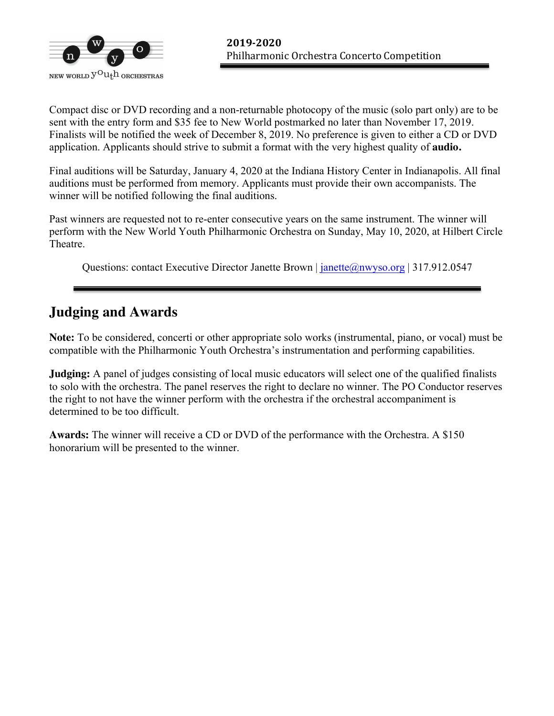

Compact disc or DVD recording and a non-returnable photocopy of the music (solo part only) are to be sent with the entry form and \$35 fee to New World postmarked no later than November 17, 2019. Finalists will be notified the week of December 8, 2019. No preference is given to either a CD or DVD application. Applicants should strive to submit a format with the very highest quality of **audio.** 

Final auditions will be Saturday, January 4, 2020 at the Indiana History Center in Indianapolis. All final auditions must be performed from memory. Applicants must provide their own accompanists. The winner will be notified following the final auditions.

Past winners are requested not to re-enter consecutive years on the same instrument. The winner will perform with the New World Youth Philharmonic Orchestra on Sunday, May 10, 2020, at Hilbert Circle Theatre.

Questions: contact Executive Director Janette Brown | janette@nwyso.org | 317.912.0547

## **Judging and Awards**

**Note:** To be considered, concerti or other appropriate solo works (instrumental, piano, or vocal) must be compatible with the Philharmonic Youth Orchestra's instrumentation and performing capabilities.

**Judging:** A panel of judges consisting of local music educators will select one of the qualified finalists to solo with the orchestra. The panel reserves the right to declare no winner. The PO Conductor reserves the right to not have the winner perform with the orchestra if the orchestral accompaniment is determined to be too difficult.

**Awards:** The winner will receive a CD or DVD of the performance with the Orchestra. A \$150 honorarium will be presented to the winner.